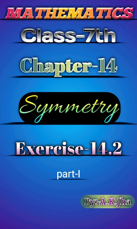







# Exercise-14.2



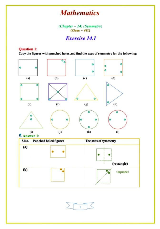## **Mathematics**

 $(Chapter -14)(Symmetry)$ <br>(Class - VII)

### Exercise 14.1

#### Question 1:

Copy the figures with punched holes and find the axes of symmetry for the following:



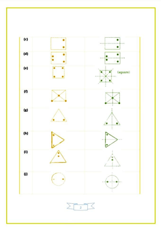

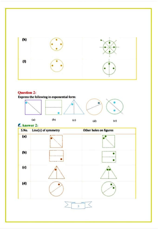

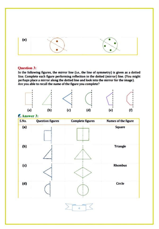

#### Question 3:

In the following figures, the mirror line (i.e., the line of symmetry) is given as a dotted line. Complete each figure performing reflection in the dotted (mirror) line. (You might perhaps place a mirror along the dotted line and look into the mirror for the image). Are you able to recall the name of the figure you complete?



Answer 3:



 $\Delta$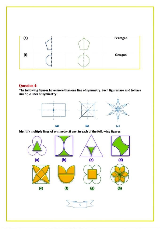

#### Question 4

The following figures have more than one line of symmetry. Such figures are said to have multiple lines of symmetry



Identify multiple lines of symmetry, if any, in each of the following figures: